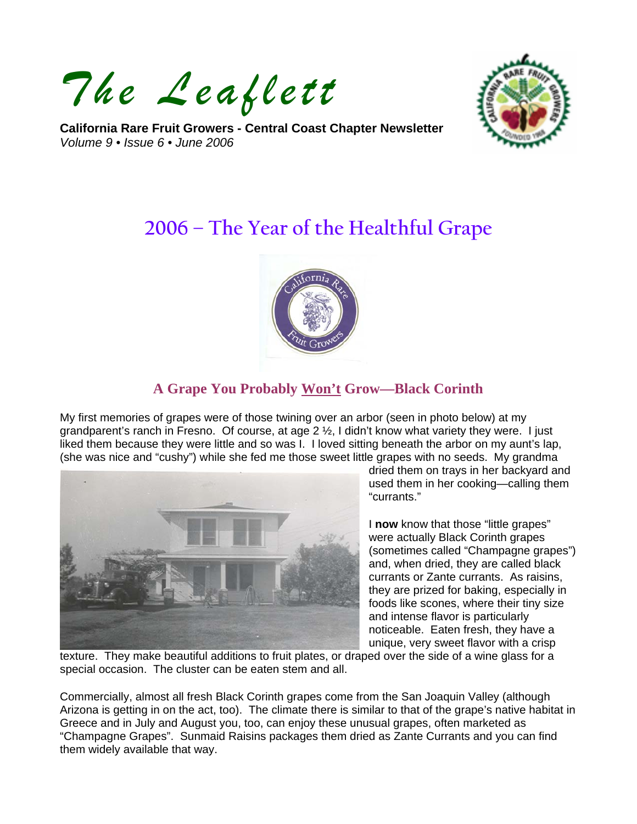*The Leaflett*

**California Rare Fruit Growers - Central Coast Chapter Newsletter**  *Volume 9 • Issue 6 • June 2006* 



# **2006 – The Year of the Healthful Grape**



## **A Grape You Probably Won't Grow—Black Corinth**

My first memories of grapes were of those twining over an arbor (seen in photo below) at my grandparent's ranch in Fresno. Of course, at age  $2 \frac{1}{2}$ , I didn't know what variety they were. I just liked them because they were little and so was I. I loved sitting beneath the arbor on my aunt's lap, (she was nice and "cushy") while she fed me those sweet little grapes with no seeds. My grandma



dried them on trays in her backyard and used them in her cooking—calling them "currants."

I **now** know that those "little grapes" were actually Black Corinth grapes (sometimes called "Champagne grapes") and, when dried, they are called black currants or Zante currants. As raisins, they are prized for baking, especially in foods like scones, where their tiny size and intense flavor is particularly noticeable. Eaten fresh, they have a unique, very sweet flavor with a crisp

texture. They make beautiful additions to fruit plates, or draped over the side of a wine glass for a special occasion. The cluster can be eaten stem and all.

Commercially, almost all fresh Black Corinth grapes come from the San Joaquin Valley (although Arizona is getting in on the act, too). The climate there is similar to that of the grape's native habitat in Greece and in July and August you, too, can enjoy these unusual grapes, often marketed as "Champagne Grapes". Sunmaid Raisins packages them dried as Zante Currants and you can find them widely available that way.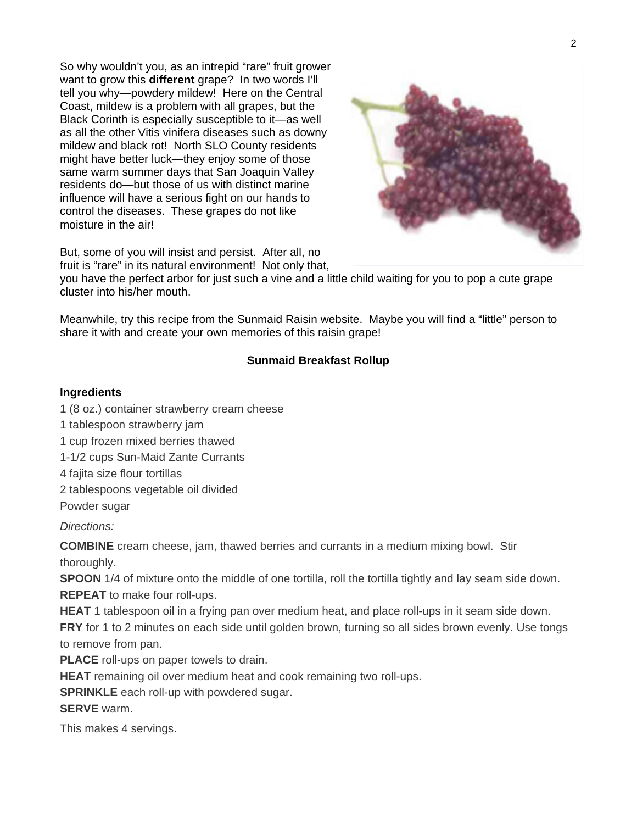So why wouldn't you, as an intrepid "rare" fruit grower want to grow this **different** grape? In two words I'll tell you why—powdery mildew! Here on the Central Coast, mildew is a problem with all grapes, but the Black Corinth is especially susceptible to it—as well as all the other Vitis vinifera diseases such as downy mildew and black rot! North SLO County residents might have better luck—they enjoy some of those same warm summer days that San Joaquin Valley residents do—but those of us with distinct marine influence will have a serious fight on our hands to control the diseases. These grapes do not like moisture in the air!



But, some of you will insist and persist. After all, no fruit is "rare" in its natural environment! Not only that,

you have the perfect arbor for just such a vine and a little child waiting for you to pop a cute grape cluster into his/her mouth.

Meanwhile, try this recipe from the Sunmaid Raisin website. Maybe you will find a "little" person to share it with and create your own memories of this raisin grape!

#### **Sunmaid Breakfast Rollup**

#### **Ingredients**

- 1 (8 oz.) container strawberry cream cheese
- 1 tablespoon strawberry jam
- 1 cup frozen mixed berries thawed
- 1-1/2 cups Sun-Maid Zante Currants
- 4 fajita size flour tortillas
- 2 tablespoons vegetable oil divided

Powder sugar

*Directions:* 

**COMBINE** cream cheese, jam, thawed berries and currants in a medium mixing bowl. Stir thoroughly.

**SPOON** 1/4 of mixture onto the middle of one tortilla, roll the tortilla tightly and lay seam side down. **REPEAT** to make four roll-ups.

**HEAT** 1 tablespoon oil in a frying pan over medium heat, and place roll-ups in it seam side down.

**FRY** for 1 to 2 minutes on each side until golden brown, turning so all sides brown evenly. Use tongs to remove from pan.

**PLACE** roll-ups on paper towels to drain.

**HEAT** remaining oil over medium heat and cook remaining two roll-ups.

**SPRINKLE** each roll-up with powdered sugar.

**SERVE** warm.

This makes 4 servings.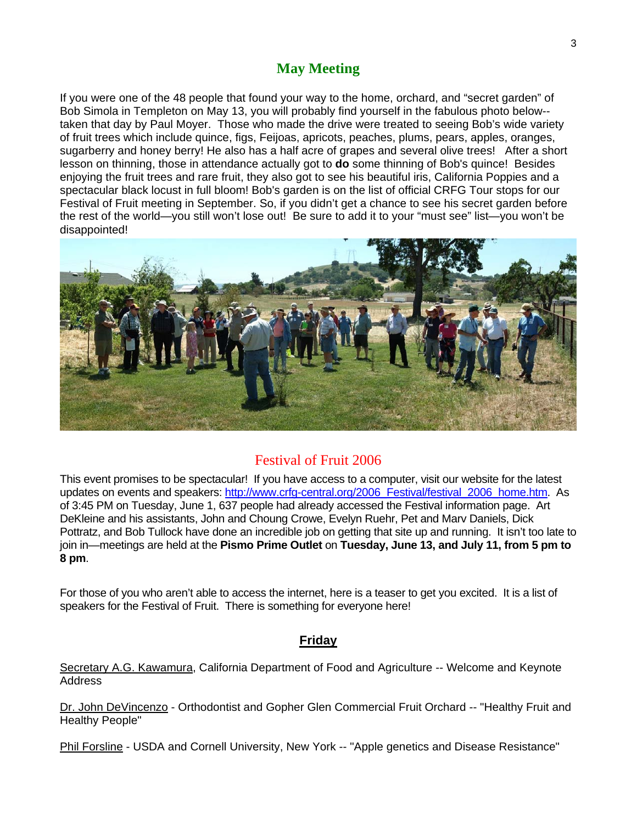# **May Meeting**

If you were one of the 48 people that found your way to the home, orchard, and "secret garden" of Bob Simola in Templeton on May 13, you will probably find yourself in the fabulous photo below- taken that day by Paul Moyer. Those who made the drive were treated to seeing Bob's wide variety of fruit trees which include quince, figs, Feijoas, apricots, peaches, plums, pears, apples, oranges, sugarberry and honey berry! He also has a half acre of grapes and several olive trees! After a short lesson on thinning, those in attendance actually got to **do** some thinning of Bob's quince! Besides enjoying the fruit trees and rare fruit, they also got to see his beautiful iris, California Poppies and a spectacular black locust in full bloom! Bob's garden is on the list of official CRFG Tour stops for our Festival of Fruit meeting in September. So, if you didn't get a chance to see his secret garden before the rest of the world—you still won't lose out! Be sure to add it to your "must see" list—you won't be disappointed!



## Festival of Fruit 2006

This event promises to be spectacular! If you have access to a computer, visit our website for the latest updates on events and speakers: [http://www.crfg-central.org/2006\\_Festival/festival\\_2006\\_home.htm](http://www.crfg-central.org/2006_Festival/festival_2006_home.htm). As of 3:45 PM on Tuesday, June 1, 637 people had already accessed the Festival information page. Art DeKleine and his assistants, John and Choung Crowe, Evelyn Ruehr, Pet and Marv Daniels, Dick Pottratz, and Bob Tullock have done an incredible job on getting that site up and running. It isn't too late to join in—meetings are held at the **Pismo Prime Outlet** on **Tuesday, June 13, and July 11, from 5 pm to 8 pm**.

For those of you who aren't able to access the internet, here is a teaser to get you excited. It is a list of speakers for the Festival of Fruit. There is something for everyone here!

### **Friday**

Secretary A.G. Kawamura, California Department of Food and Agriculture -- Welcome and Keynote Address

Dr. John DeVincenzo - Orthodontist and Gopher Glen Commercial Fruit Orchard -- "Healthy Fruit and Healthy People"

Phil Forsline - USDA and Cornell University, New York -- "Apple genetics and Disease Resistance"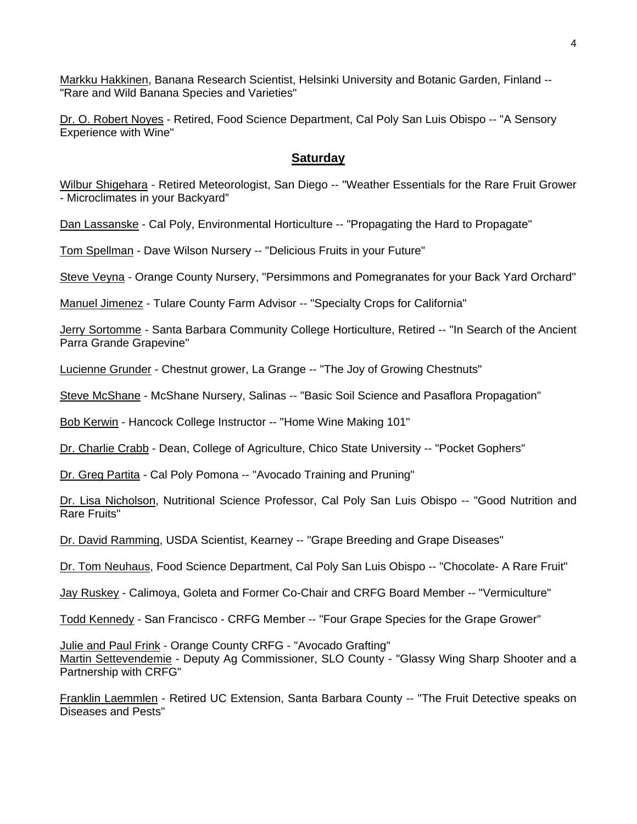Markku Hakkinen, Banana Research Scientist, Helsinki University and Botanic Garden, Finland -- "Rare and Wild Banana Species and Varieties"

Dr. O. Robert Noyes - Retired, Food Science Department, Cal Poly San Luis Obispo -- "A Sensory Experience with Wine"

#### **Saturday**

Wilbur Shigehara - Retired Meteorologist, San Diego -- "Weather Essentials for the Rare Fruit Grower - Microclimates in your Backyard"

Dan Lassanske - Cal Poly, Environmental Horticulture -- "Propagating the Hard to Propagate"

Tom Spellman - Dave Wilson Nursery -- "Delicious Fruits in your Future"

Steve Veyna - Orange County Nursery, "Persimmons and Pomegranates for your Back Yard Orchard"

Manuel Jimenez - Tulare County Farm Advisor -- "Specialty Crops for California"

Jerry Sortomme - Santa Barbara Community College Horticulture, Retired -- "In Search of the Ancient Parra Grande Grapevine"

Lucienne Grunder - Chestnut grower, La Grange -- "The Joy of Growing Chestnuts"

Steve McShane - McShane Nursery, Salinas -- "Basic Soil Science and Pasaflora Propagation"

Bob Kerwin - Hancock College Instructor -- "Home Wine Making 101"

Dr. Charlie Crabb - Dean, College of Agriculture, Chico State University -- "Pocket Gophers"

Dr. Greg Partita - Cal Poly Pomona -- "Avocado Training and Pruning"

Dr. Lisa Nicholson, Nutritional Science Professor, Cal Poly San Luis Obispo -- "Good Nutrition and Rare Fruits"

Dr. David Ramming, USDA Scientist, Kearney -- "Grape Breeding and Grape Diseases"

Dr. Tom Neuhaus, Food Science Department, Cal Poly San Luis Obispo -- "Chocolate- A Rare Fruit"

Jay Ruskey - Calimoya, Goleta and Former Co-Chair and CRFG Board Member -- "Vermiculture"

Todd Kennedy - San Francisco - CRFG Member -- "Four Grape Species for the Grape Grower"

Julie and Paul Frink - Orange County CRFG - "Avocado Grafting" Martin Settevendemie - Deputy Ag Commissioner, SLO County - "Glassy Wing Sharp Shooter and a Partnership with CRFG"

Franklin Laemmlen - Retired UC Extension, Santa Barbara County -- "The Fruit Detective speaks on Diseases and Pests"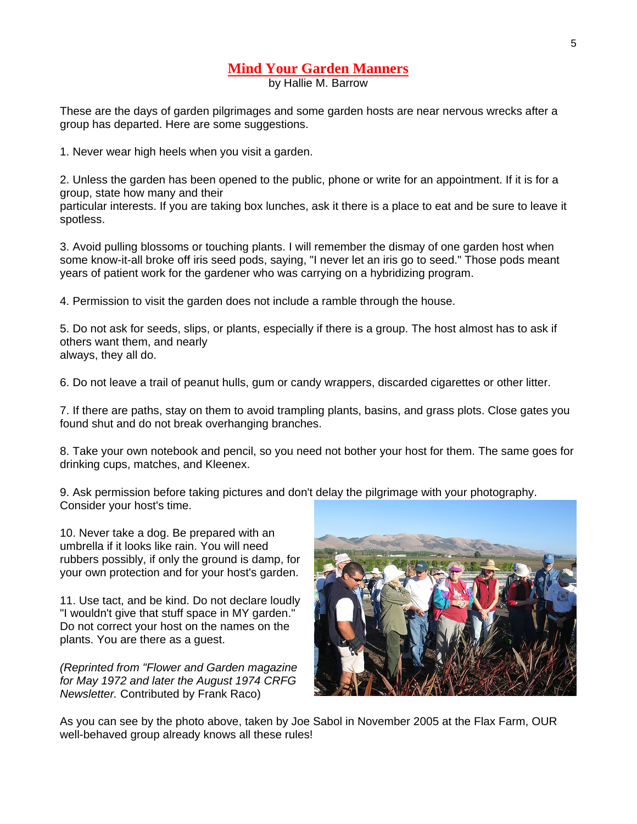## **Mind Your Garden Manners**

by Hallie M. Barrow

These are the days of garden pilgrimages and some garden hosts are near nervous wrecks after a group has departed. Here are some suggestions.

1. Never wear high heels when you visit a garden.

2. Unless the garden has been opened to the public, phone or write for an appointment. If it is for a group, state how many and their

particular interests. If you are taking box lunches, ask it there is a place to eat and be sure to leave it spotless.

3. Avoid pulling blossoms or touching plants. I will remember the dismay of one garden host when some know-it-all broke off iris seed pods, saying, "I never let an iris go to seed." Those pods meant years of patient work for the gardener who was carrying on a hybridizing program.

4. Permission to visit the garden does not include a ramble through the house.

5. Do not ask for seeds, slips, or plants, especially if there is a group. The host almost has to ask if others want them, and nearly always, they all do.

6. Do not leave a trail of peanut hulls, gum or candy wrappers, discarded cigarettes or other litter.

7. If there are paths, stay on them to avoid trampling plants, basins, and grass plots. Close gates you found shut and do not break overhanging branches.

8. Take your own notebook and pencil, so you need not bother your host for them. The same goes for drinking cups, matches, and Kleenex.

9. Ask permission before taking pictures and don't delay the pilgrimage with your photography. Consider your host's time.

10. Never take a dog. Be prepared with an umbrella if it looks like rain. You will need rubbers possibly, if only the ground is damp, for your own protection and for your host's garden.

11. Use tact, and be kind. Do not declare loudly "I wouldn't give that stuff space in MY garden." Do not correct your host on the names on the plants. You are there as a guest.

*(Reprinted from "Flower and Garden magazine for May 1972 and later the August 1974 CRFG Newsletter.* Contributed by Frank Raco)



As you can see by the photo above, taken by Joe Sabol in November 2005 at the Flax Farm, OUR well-behaved group already knows all these rules!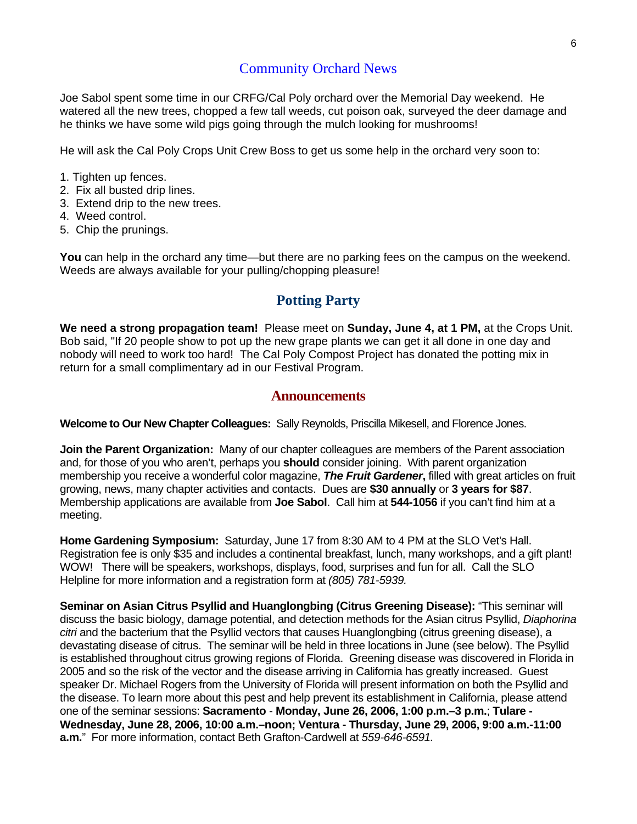## Community Orchard News

Joe Sabol spent some time in our CRFG/Cal Poly orchard over the Memorial Day weekend. He watered all the new trees, chopped a few tall weeds, cut poison oak, surveyed the deer damage and he thinks we have some wild pigs going through the mulch looking for mushrooms!

He will ask the Cal Poly Crops Unit Crew Boss to get us some help in the orchard very soon to:

- 1. Tighten up fences.
- 2. Fix all busted drip lines.
- 3. Extend drip to the new trees.
- 4. Weed control.
- 5. Chip the prunings.

**You** can help in the orchard any time—but there are no parking fees on the campus on the weekend. Weeds are always available for your pulling/chopping pleasure!

#### **Potting Party**

**We need a strong propagation team!** Please meet on **Sunday, June 4, at 1 PM,** at the Crops Unit. Bob said, "If 20 people show to pot up the new grape plants we can get it all done in one day and nobody will need to work too hard! The Cal Poly Compost Project has donated the potting mix in return for a small complimentary ad in our Festival Program.

#### **Announcements**

**Welcome to Our New Chapter Colleagues:** Sally Reynolds, Priscilla Mikesell, and Florence Jones.

**Join the Parent Organization:** Many of our chapter colleagues are members of the Parent association and, for those of you who aren't, perhaps you **should** consider joining. With parent organization membership you receive a wonderful color magazine, *The Fruit Gardener***,** filled with great articles on fruit growing, news, many chapter activities and contacts. Dues are **\$30 annually** or **3 years for \$87**. Membership applications are available from **Joe Sabol**. Call him at **544-1056** if you can't find him at a meeting.

**Home Gardening Symposium:** Saturday, June 17 from 8:30 AM to 4 PM at the SLO Vet's Hall. Registration fee is only \$35 and includes a continental breakfast, lunch, many workshops, and a gift plant! WOW! There will be speakers, workshops, displays, food, surprises and fun for all. Call the SLO Helpline for more information and a registration form at *(805) 781-5939.* 

**Seminar on Asian Citrus Psyllid and Huanglongbing (Citrus Greening Disease):** "This seminar will discuss the basic biology, damage potential, and detection methods for the Asian citrus Psyllid, *Diaphorina citri* and the bacterium that the Psyllid vectors that causes Huanglongbing (citrus greening disease), a devastating disease of citrus. The seminar will be held in three locations in June (see below). The Psyllid is established throughout citrus growing regions of Florida. Greening disease was discovered in Florida in 2005 and so the risk of the vector and the disease arriving in California has greatly increased. Guest speaker Dr. Michael Rogers from the University of Florida will present information on both the Psyllid and the disease. To learn more about this pest and help prevent its establishment in California, please attend one of the seminar sessions: **Sacramento** - **Monday, June 26, 2006, 1:00 p.m.–3 p.m.**; **Tulare - Wednesday, June 28, 2006, 10:00 a.m.–noon; Ventura - Thursday, June 29, 2006, 9:00 a.m.-11:00 a.m.**"For more information, contact Beth Grafton-Cardwell at *559-646-6591.*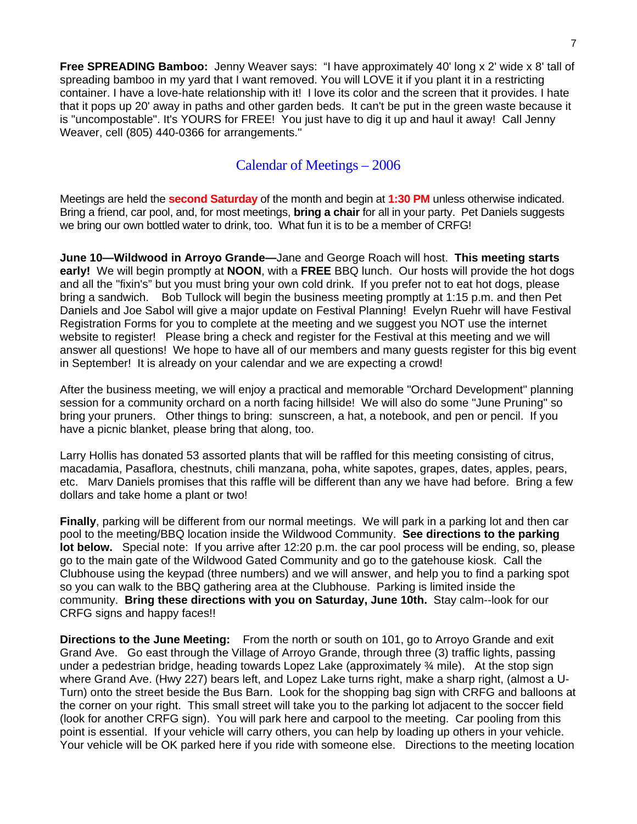**Free SPREADING Bamboo:** Jenny Weaver says: "I have approximately 40' long x 2' wide x 8' tall of spreading bamboo in my yard that I want removed. You will LOVE it if you plant it in a restricting container. I have a love-hate relationship with it! I love its color and the screen that it provides. I hate that it pops up 20' away in paths and other garden beds. It can't be put in the green waste because it is "uncompostable". It's YOURS for FREE! You just have to dig it up and haul it away! Call Jenny Weaver, cell (805) 440-0366 for arrangements."

## Calendar of Meetings – 2006

Meetings are held the **second Saturday** of the month and begin at **1:30 PM** unless otherwise indicated. Bring a friend, car pool, and, for most meetings, **bring a chair** for all in your party. Pet Daniels suggests we bring our own bottled water to drink, too. What fun it is to be a member of CRFG!

**June 10—Wildwood in Arroyo Grande—**Jane and George Roach will host. **This meeting starts early!** We will begin promptly at **NOON**, with a **FREE** BBQ lunch. Our hosts will provide the hot dogs and all the "fixin's" but you must bring your own cold drink. If you prefer not to eat hot dogs, please bring a sandwich. Bob Tullock will begin the business meeting promptly at 1:15 p.m. and then Pet Daniels and Joe Sabol will give a major update on Festival Planning! Evelyn Ruehr will have Festival Registration Forms for you to complete at the meeting and we suggest you NOT use the internet website to register! Please bring a check and register for the Festival at this meeting and we will answer all questions! We hope to have all of our members and many guests register for this big event in September! It is already on your calendar and we are expecting a crowd!

After the business meeting, we will enjoy a practical and memorable "Orchard Development" planning session for a community orchard on a north facing hillside! We will also do some "June Pruning" so bring your pruners. Other things to bring: sunscreen, a hat, a notebook, and pen or pencil. If you have a picnic blanket, please bring that along, too.

Larry Hollis has donated 53 assorted plants that will be raffled for this meeting consisting of citrus, macadamia, Pasaflora, chestnuts, chili manzana, poha, white sapotes, grapes, dates, apples, pears, etc. Marv Daniels promises that this raffle will be different than any we have had before. Bring a few dollars and take home a plant or two!

**Finally**, parking will be different from our normal meetings. We will park in a parking lot and then car pool to the meeting/BBQ location inside the Wildwood Community. **See directions to the parking lot below.** Special note: If you arrive after 12:20 p.m. the car pool process will be ending, so, please go to the main gate of the Wildwood Gated Community and go to the gatehouse kiosk. Call the Clubhouse using the keypad (three numbers) and we will answer, and help you to find a parking spot so you can walk to the BBQ gathering area at the Clubhouse. Parking is limited inside the community. **Bring these directions with you on Saturday, June 10th.** Stay calm--look for our CRFG signs and happy faces!!

**Directions to the June Meeting:** From the north or south on 101, go to Arroyo Grande and exit Grand Ave. Go east through the Village of Arroyo Grande, through three (3) traffic lights, passing under a pedestrian bridge, heading towards Lopez Lake (approximately  $\frac{3}{4}$  mile). At the stop sign where Grand Ave. (Hwy 227) bears left, and Lopez Lake turns right, make a sharp right, (almost a U-Turn) onto the street beside the Bus Barn. Look for the shopping bag sign with CRFG and balloons at the corner on your right. This small street will take you to the parking lot adjacent to the soccer field (look for another CRFG sign). You will park here and carpool to the meeting. Car pooling from this point is essential. If your vehicle will carry others, you can help by loading up others in your vehicle. Your vehicle will be OK parked here if you ride with someone else. Directions to the meeting location